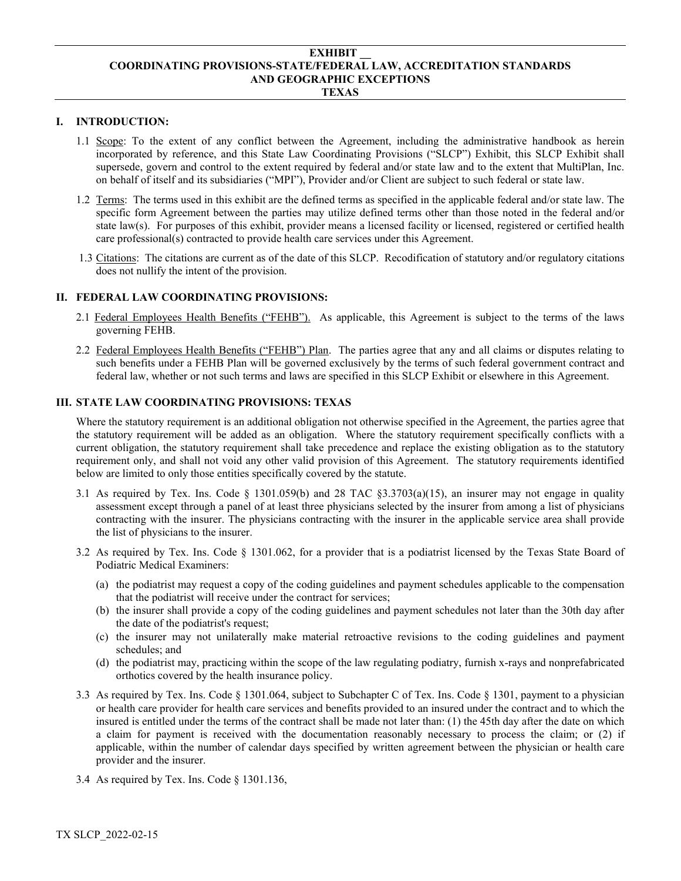#### **EXHIBIT \_\_ COORDINATING PROVISIONS-STATE/FEDERAL LAW, ACCREDITATION STANDARDS AND GEOGRAPHIC EXCEPTIONS TEXAS**

#### **I. INTRODUCTION:**

- 1.1 Scope: To the extent of any conflict between the Agreement, including the administrative handbook as herein incorporated by reference, and this State Law Coordinating Provisions ("SLCP") Exhibit, this SLCP Exhibit shall supersede, govern and control to the extent required by federal and/or state law and to the extent that MultiPlan, Inc. on behalf of itself and its subsidiaries ("MPI"), Provider and/or Client are subject to such federal or state law.
- 1.2 Terms: The terms used in this exhibit are the defined terms as specified in the applicable federal and/or state law. The specific form Agreement between the parties may utilize defined terms other than those noted in the federal and/or state law(s). For purposes of this exhibit, provider means a licensed facility or licensed, registered or certified health care professional(s) contracted to provide health care services under this Agreement.
- 1.3 Citations: The citations are current as of the date of this SLCP. Recodification of statutory and/or regulatory citations does not nullify the intent of the provision.

### **II. FEDERAL LAW COORDINATING PROVISIONS:**

- 2.1 Federal Employees Health Benefits ("FEHB"). As applicable, this Agreement is subject to the terms of the laws governing FEHB.
- 2.2 Federal Employees Health Benefits ("FEHB") Plan. The parties agree that any and all claims or disputes relating to such benefits under a FEHB Plan will be governed exclusively by the terms of such federal government contract and federal law, whether or not such terms and laws are specified in this SLCP Exhibit or elsewhere in this Agreement.

### **III. STATE LAW COORDINATING PROVISIONS: TEXAS**

Where the statutory requirement is an additional obligation not otherwise specified in the Agreement, the parties agree that the statutory requirement will be added as an obligation. Where the statutory requirement specifically conflicts with a current obligation, the statutory requirement shall take precedence and replace the existing obligation as to the statutory requirement only, and shall not void any other valid provision of this Agreement. The statutory requirements identified below are limited to only those entities specifically covered by the statute.

- 3.1 As required by Tex. Ins. Code  $\S$  1301.059(b) and 28 TAC  $\S$ 3.3703(a)(15), an insurer may not engage in quality assessment except through a panel of at least three physicians selected by the insurer from among a list of physicians contracting with the insurer. The physicians contracting with the insurer in the applicable service area shall provide the list of physicians to the insurer.
- 3.2 As required by Tex. Ins. Code § 1301.062, for a provider that is a podiatrist licensed by the Texas State Board of Podiatric Medical Examiners:
	- (a) the podiatrist may request a copy of the coding guidelines and payment schedules applicable to the compensation that the podiatrist will receive under the contract for services;
	- (b) the insurer shall provide a copy of the coding guidelines and payment schedules not later than the 30th day after the date of the podiatrist's request;
	- (c) the insurer may not unilaterally make material retroactive revisions to the coding guidelines and payment schedules; and
	- (d) the podiatrist may, practicing within the scope of the law regulating podiatry, furnish x-rays and nonprefabricated orthotics covered by the health insurance policy.
- 3.3 As required by Tex. Ins. Code § 1301.064, subject to Subchapter C of Tex. Ins. Code § 1301, payment to a physician or health care provider for health care services and benefits provided to an insured under the contract and to which the insured is entitled under the terms of the contract shall be made not later than: (1) the 45th day after the date on which a claim for payment is received with the documentation reasonably necessary to process the claim; or (2) if applicable, within the number of calendar days specified by written agreement between the physician or health care provider and the insurer.
- 3.4 As required by Tex. Ins. Code § 1301.136,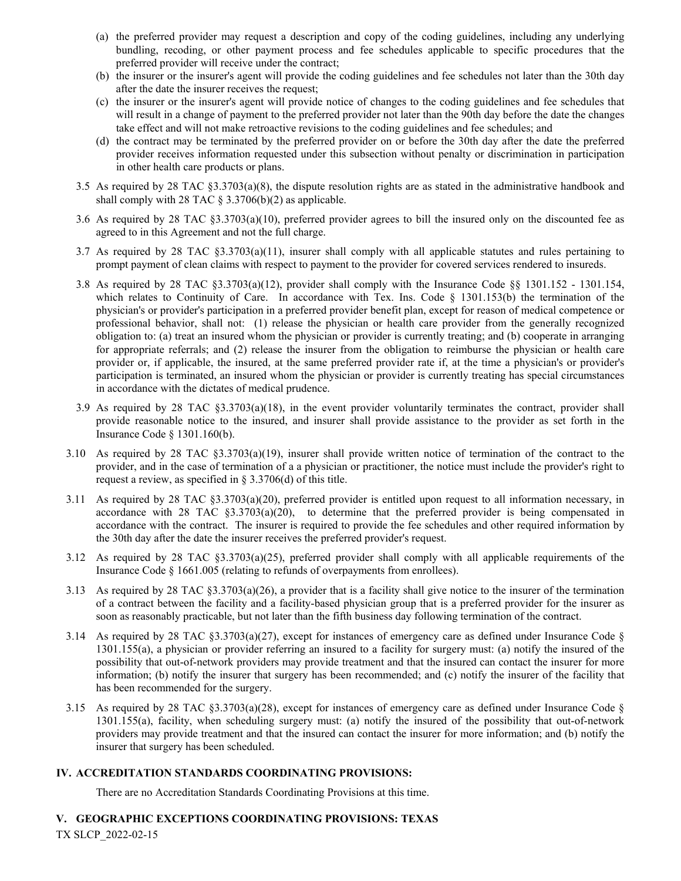- (a) the preferred provider may request a description and copy of the coding guidelines, including any underlying bundling, recoding, or other payment process and fee schedules applicable to specific procedures that the preferred provider will receive under the contract;
- (b) the insurer or the insurer's agent will provide the coding guidelines and fee schedules not later than the 30th day after the date the insurer receives the request;
- (c) the insurer or the insurer's agent will provide notice of changes to the coding guidelines and fee schedules that will result in a change of payment to the preferred provider not later than the 90th day before the date the changes take effect and will not make retroactive revisions to the coding guidelines and fee schedules; and
- (d) the contract may be terminated by the preferred provider on or before the 30th day after the date the preferred provider receives information requested under this subsection without penalty or discrimination in participation in other health care products or plans.
- 3.5 As required by 28 TAC §3.3703(a)(8), the dispute resolution rights are as stated in the administrative handbook and shall comply with 28 TAC  $\S 3.3706(b)(2)$  as applicable.
- 3.6 As required by 28 TAC §3.3703(a)(10), preferred provider agrees to bill the insured only on the discounted fee as agreed to in this Agreement and not the full charge.
- 3.7 As required by 28 TAC §3.3703(a)(11), insurer shall comply with all applicable statutes and rules pertaining to prompt payment of clean claims with respect to payment to the provider for covered services rendered to insureds.
- 3.8 As required by 28 TAC §3.3703(a)(12), provider shall comply with the Insurance Code §§ 1301.152 1301.154, which relates to Continuity of Care. In accordance with Tex. Ins. Code § 1301.153(b) the termination of the physician's or provider's participation in a preferred provider benefit plan, except for reason of medical competence or professional behavior, shall not: (1) release the physician or health care provider from the generally recognized obligation to: (a) treat an insured whom the physician or provider is currently treating; and (b) cooperate in arranging for appropriate referrals; and (2) release the insurer from the obligation to reimburse the physician or health care provider or, if applicable, the insured, at the same preferred provider rate if, at the time a physician's or provider's participation is terminated, an insured whom the physician or provider is currently treating has special circumstances in accordance with the dictates of medical prudence.
- 3.9 As required by 28 TAC §3.3703(a)(18), in the event provider voluntarily terminates the contract, provider shall provide reasonable notice to the insured, and insurer shall provide assistance to the provider as set forth in the Insurance Code § 1301.160(b).
- 3.10 As required by 28 TAC §3.3703(a)(19), insurer shall provide written notice of termination of the contract to the provider, and in the case of termination of a a physician or practitioner, the notice must include the provider's right to request a review, as specified in § 3.3706(d) of this title.
- 3.11 As required by 28 TAC §3.3703(a)(20), preferred provider is entitled upon request to all information necessary, in accordance with 28 TAC §3.3703(a)(20), to determine that the preferred provider is being compensated in accordance with the contract. The insurer is required to provide the fee schedules and other required information by the 30th day after the date the insurer receives the preferred provider's request.
- 3.12 As required by 28 TAC §3.3703(a)(25), preferred provider shall comply with all applicable requirements of the Insurance Code § 1661.005 (relating to refunds of overpayments from enrollees).
- 3.13 As required by 28 TAC §3.3703(a)(26), a provider that is a facility shall give notice to the insurer of the termination of a contract between the facility and a facility-based physician group that is a preferred provider for the insurer as soon as reasonably practicable, but not later than the fifth business day following termination of the contract.
- 3.14 As required by 28 TAC  $\S 3.3703(a)(27)$ , except for instances of emergency care as defined under Insurance Code  $\S$ 1301.155(a), a physician or provider referring an insured to a facility for surgery must: (a) notify the insured of the possibility that out-of-network providers may provide treatment and that the insured can contact the insurer for more information; (b) notify the insurer that surgery has been recommended; and (c) notify the insurer of the facility that has been recommended for the surgery.
- 3.15 As required by 28 TAC  $\S 3.3703(a)(28)$ , except for instances of emergency care as defined under Insurance Code  $\S$ 1301.155(a), facility, when scheduling surgery must: (a) notify the insured of the possibility that out-of-network providers may provide treatment and that the insured can contact the insurer for more information; and (b) notify the insurer that surgery has been scheduled.

## **IV. ACCREDITATION STANDARDS COORDINATING PROVISIONS:**

There are no Accreditation Standards Coordinating Provisions at this time.

# TX SLCP\_2022-02-15 **V. GEOGRAPHIC EXCEPTIONS COORDINATING PROVISIONS: TEXAS**